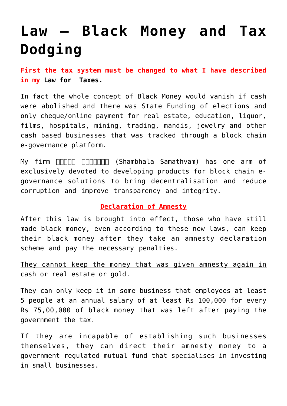## **[Law – Black Money and Tax](https://aryadharma.world/laws/details-of-the-law/law-crimes/laws_blackmoney/) [Dodging](https://aryadharma.world/laws/details-of-the-law/law-crimes/laws_blackmoney/)**

**First the tax system must be changed to what I have described in my [Law for Taxes.](https://aryadharma.world/laws/details-of-the-law/laws_taxes/)**

In fact the whole concept of Black Money would vanish if cash were abolished and there was [State Funding of elections](http://aryadharma.world/laws_statefundingelections-2/) and only cheque/online payment for real estate, education, liquor, films, hospitals, mining, trading, mandis, jewelry and other cash based businesses that was tracked through a block chain e-governance platform.

My firm **FIFFIL ENTER THE Stambhala Samathvam**) has one arm of exclusively devoted to developing products for block chain egovernance solutions to bring decentralisation and reduce corruption and improve transparency and integrity.

## **Declaration of Amnesty**

After this law is brought into effect, those who have still made black money, even according to these new laws, can keep their black money after they take an amnesty declaration scheme and pay the necessary penalties.

## They cannot keep the money that was given amnesty again in cash or real estate or gold.

They can only keep it in some business that employees at least 5 people at an annual salary of at least Rs 100,000 for every Rs 75,00,000 of black money that was left after paying the government the tax.

If they are incapable of establishing such businesses themselves, they can direct their amnesty money to a government regulated mutual fund that specialises in investing in small businesses.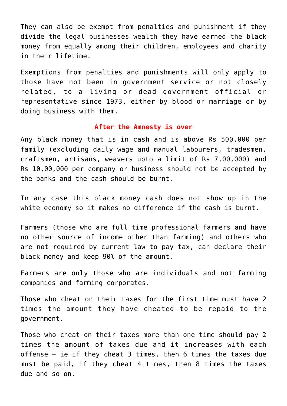They can also be exempt from penalties and punishment if they divide the legal businesses wealth they have earned the black money from equally among their children, employees and charity in their lifetime.

Exemptions from penalties and punishments will only apply to those have not been in government service or not closely related, to a living or dead government official or representative since 1973, either by blood or marriage or by doing business with them.

## **After the Amnesty is over**

Any black money that is in cash and is above Rs 500,000 per family (excluding daily wage and manual labourers, tradesmen, craftsmen, artisans, weavers upto a limit of Rs 7,00,000) and Rs 10,00,000 per company or business should not be accepted by the banks and the cash should be burnt.

In any case this black money cash does not show up in the white economy so it makes no difference if the cash is burnt.

Farmers (those who are full time professional farmers and have no other source of income other than farming) and others who are not required by current law to pay tax, can declare their black money and keep 90% of the amount.

Farmers are only those who are individuals and not farming companies and farming corporates.

Those who cheat on their taxes for the first time must have 2 times the amount they have cheated to be repaid to the government.

Those who cheat on their taxes more than one time should pay 2 times the amount of taxes due and it increases with each offense — ie if they cheat 3 times, then 6 times the taxes due must be paid, if they cheat 4 times, then 8 times the taxes due and so on.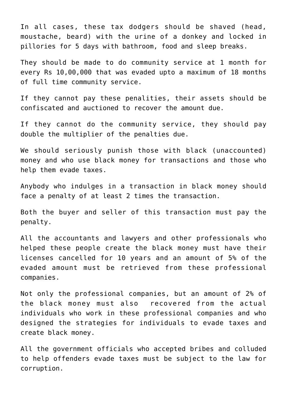In all cases, these tax dodgers should be shaved (head, moustache, beard) with the urine of a donkey and locked in [pillories f](https://en.wikipedia.org/wiki/Pillory)or 5 days with bathroom, food and sleep breaks.

They should be made to do community service at 1 month for every Rs 10,00,000 that was evaded upto a maximum of 18 months of full time community service.

If they cannot pay these penalities, their assets should be confiscated and auctioned to recover the amount due.

If they cannot do the community service, they should pay double the multiplier of the penalties due.

We should seriously punish those with black (unaccounted) money and who use black money for transactions and those who help them evade taxes.

Anybody who indulges in a transaction in black money should face a penalty of at least 2 times the transaction.

Both the buyer and seller of this transaction must pay the penalty.

All the accountants and lawyers and other professionals who helped these people create the black money must have their licenses cancelled for 10 years and an amount of 5% of the evaded amount must be retrieved from these professional companies.

Not only the professional companies, but an amount of 2% of the black money must also recovered from the actual individuals who work in these professional companies and who designed the strategies for individuals to evade taxes and create black money.

All the government officials who accepted bribes and colluded to help offenders evade taxes must be subject to the [law for](https://aryadharma.world/laws/details-of-the-law/laws_corruption-2/) [corruption.](https://aryadharma.world/laws/details-of-the-law/laws_corruption-2/)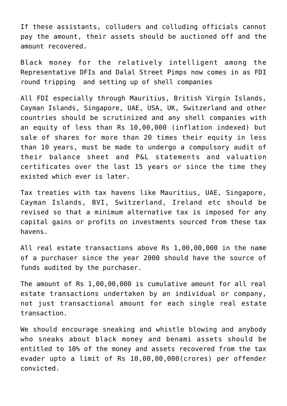If these assistants, colluders and colluding officials cannot pay the amount, their assets should be auctioned off and the amount recovered.

Black money for the relatively intelligent among the [Representative DFIs](http://aryadharma.world/repsofpeople/) and [Dalal Street Pimps](http://aryadharma.world/wallstreetpimps/) now comes in as FDI round tripping and setting up of shell companies

All FDI especially through Mauritius, British Virgin Islands, Cayman Islands, Singapore, UAE, USA, UK, Switzerland and other countries should be scrutinized and any shell companies with an equity of less than Rs 10,00,000 (inflation indexed) but sale of shares for more than 20 times their equity in less than 10 years, must be made to undergo a compulsory audit of their balance sheet and P&L statements and valuation certificates over the last 15 years or since the time they existed which ever is later.

Tax treaties with tax havens like Mauritius, UAE, Singapore, Cayman Islands, BVI, Switzerland, Ireland etc should be revised so that a minimum alternative tax is imposed for any capital gains or profits on investments sourced from these tax havens.

All real estate transactions above Rs 1,00,00,000 in the name of a purchaser since the year 2000 should have the source of funds audited by the purchaser.

The amount of Rs 1,00,00,000 is cumulative amount for all real estate transactions undertaken by an individual or company, not just transactional amount for each single real estate transaction.

We should encourage sneaking and whistle blowing and anybody who sneaks about black money and benami assets should be entitled to 10% of the money and assets recovered from the tax evader upto a limit of Rs 10,00,00,000(crores) per offender convicted.